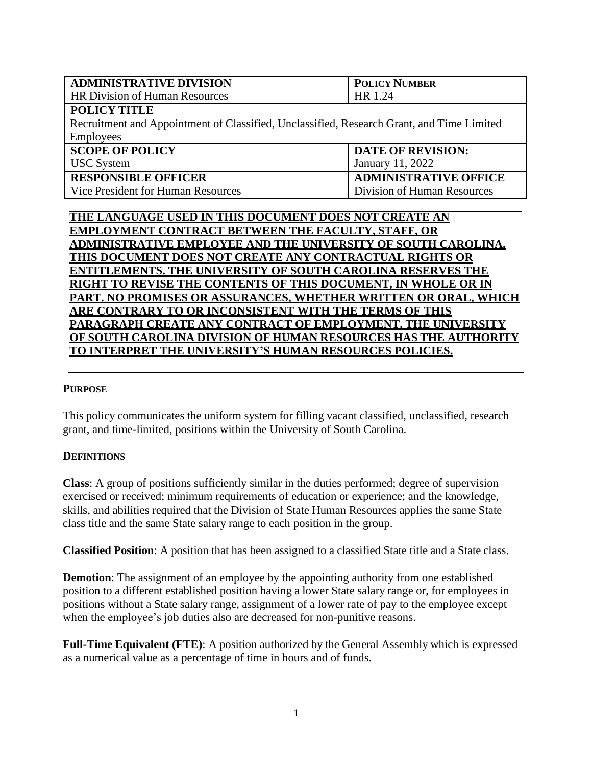| <b>ADMINISTRATIVE DIVISION</b>                                                            | <b>POLICY NUMBER</b>         |  |
|-------------------------------------------------------------------------------------------|------------------------------|--|
| <b>HR Division of Human Resources</b>                                                     | HR 1.24                      |  |
| <b>POLICY TITLE</b>                                                                       |                              |  |
| Recruitment and Appointment of Classified, Unclassified, Research Grant, and Time Limited |                              |  |
| <b>Employees</b>                                                                          |                              |  |
| <b>SCOPE OF POLICY</b>                                                                    | <b>DATE OF REVISION:</b>     |  |
| <b>USC</b> System                                                                         | January 11, 2022             |  |
| <b>RESPONSIBLE OFFICER</b>                                                                | <b>ADMINISTRATIVE OFFICE</b> |  |
| Vice President for Human Resources                                                        | Division of Human Resources  |  |

**THE LANGUAGE USED IN THIS DOCUMENT DOES NOT CREATE AN EMPLOYMENT CONTRACT BETWEEN THE FACULTY, STAFF, OR ADMINISTRATIVE EMPLOYEE AND THE UNIVERSITY OF SOUTH CAROLINA. THIS DOCUMENT DOES NOT CREATE ANY CONTRACTUAL RIGHTS OR ENTITLEMENTS. THE UNIVERSITY OF SOUTH CAROLINA RESERVES THE RIGHT TO REVISE THE CONTENTS OF THIS DOCUMENT, IN WHOLE OR IN PART. NO PROMISES OR ASSURANCES, WHETHER WRITTEN OR ORAL, WHICH ARE CONTRARY TO OR INCONSISTENT WITH THE TERMS OF THIS PARAGRAPH CREATE ANY CONTRACT OF EMPLOYMENT. THE UNIVERSITY OF SOUTH CAROLINA DIVISION OF HUMAN RESOURCES HAS THE AUTHORITY TO INTERPRET THE UNIVERSITY'S HUMAN RESOURCES POLICIES.**

#### **PURPOSE**

This policy communicates the uniform system for filling vacant classified, unclassified, research grant, and time-limited, positions within the University of South Carolina.

#### **DEFINITIONS**

**Class**: A group of positions sufficiently similar in the duties performed; degree of supervision exercised or received; minimum requirements of education or experience; and the knowledge, skills, and abilities required that the Division of State Human Resources applies the same State class title and the same State salary range to each position in the group.

**Classified Position**: A position that has been assigned to a classified State title and a State class.

**Demotion**: The assignment of an employee by the appointing authority from one established position to a different established position having a lower State salary range or, for employees in positions without a State salary range, assignment of a lower rate of pay to the employee except when the employee's job duties also are decreased for non-punitive reasons.

**Full-Time Equivalent (FTE)**: A position authorized by the General Assembly which is expressed as a numerical value as a percentage of time in hours and of funds.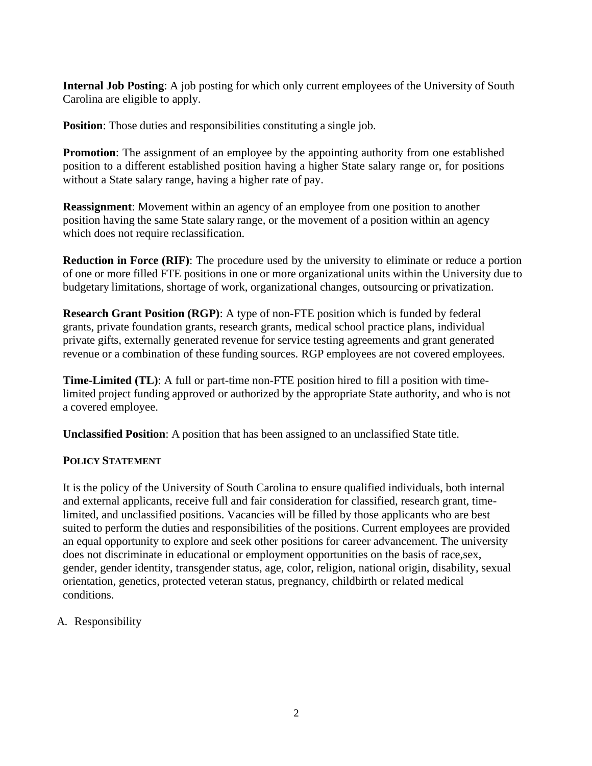**Internal Job Posting**: A job posting for which only current employees of the University of South Carolina are eligible to apply.

**Position:** Those duties and responsibilities constituting a single job.

**Promotion**: The assignment of an employee by the appointing authority from one established position to a different established position having a higher State salary range or, for positions without a State salary range, having a higher rate of pay.

**Reassignment**: Movement within an agency of an employee from one position to another position having the same State salary range, or the movement of a position within an agency which does not require reclassification.

**Reduction in Force (RIF)**: The procedure used by the university to eliminate or reduce a portion of one or more filled FTE positions in one or more organizational units within the University due to budgetary limitations, shortage of work, organizational changes, outsourcing or privatization.

**Research Grant Position (RGP)**: A type of non-FTE position which is funded by federal grants, private foundation grants, research grants, medical school practice plans, individual private gifts, externally generated revenue for service testing agreements and grant generated revenue or a combination of these funding sources. RGP employees are not covered employees.

**Time-Limited (TL)**: A full or part-time non-FTE position hired to fill a position with timelimited project funding approved or authorized by the appropriate State authority, and who is not a covered employee.

**Unclassified Position**: A position that has been assigned to an unclassified State title.

## **POLICY STATEMENT**

It is the policy of the University of South Carolina to ensure qualified individuals, both internal and external applicants, receive full and fair consideration for classified, research grant, timelimited, and unclassified positions. Vacancies will be filled by those applicants who are best suited to perform the duties and responsibilities of the positions. Current employees are provided an equal opportunity to explore and seek other positions for career advancement. The university does not discriminate in educational or employment opportunities on the basis of race,sex, gender, gender identity, transgender status, age, color, religion, national origin, disability, sexual orientation, genetics, protected veteran status, pregnancy, childbirth or related medical conditions.

A. Responsibility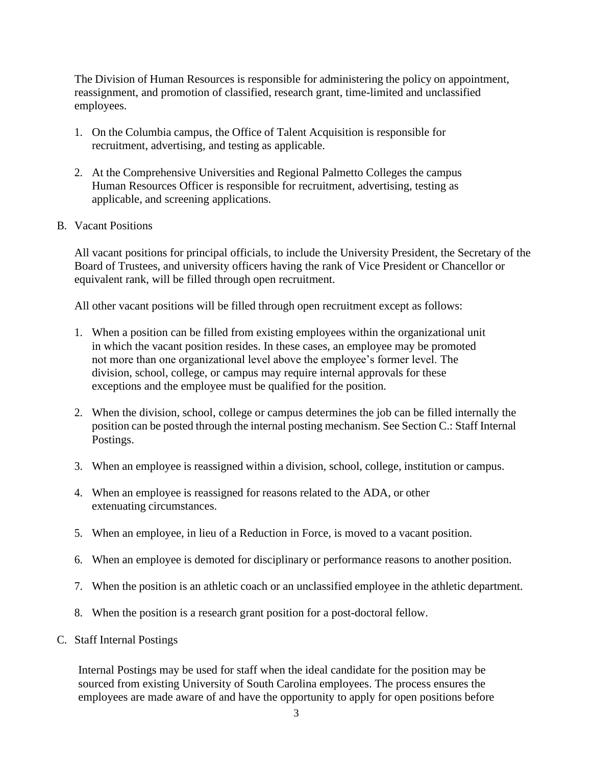The Division of Human Resources is responsible for administering the policy on appointment, reassignment, and promotion of classified, research grant, time-limited and unclassified employees.

- 1. On the Columbia campus, the Office of Talent Acquisition is responsible for recruitment, advertising, and testing as applicable.
- 2. At the Comprehensive Universities and Regional Palmetto Colleges the campus Human Resources Officer is responsible for recruitment, advertising, testing as applicable, and screening applications.
- B. Vacant Positions

All vacant positions for principal officials, to include the University President, the Secretary of the Board of Trustees, and university officers having the rank of Vice President or Chancellor or equivalent rank, will be filled through open recruitment.

All other vacant positions will be filled through open recruitment except as follows:

- 1. When a position can be filled from existing employees within the organizational unit in which the vacant position resides. In these cases, an employee may be promoted not more than one organizational level above the employee's former level. The division, school, college, or campus may require internal approvals for these exceptions and the employee must be qualified for the position.
- 2. When the division, school, college or campus determines the job can be filled internally the position can be posted through the internal posting mechanism. See Section C.: Staff Internal Postings.
- 3. When an employee is reassigned within a division, school, college, institution or campus.
- 4. When an employee is reassigned for reasons related to the ADA, or other extenuating circumstances.
- 5. When an employee, in lieu of a Reduction in Force, is moved to a vacant position.
- 6. When an employee is demoted for disciplinary or performance reasons to another position.
- 7. When the position is an athletic coach or an unclassified employee in the athletic department.
- 8. When the position is a research grant position for a post-doctoral fellow.
- C. Staff Internal Postings

Internal Postings may be used for staff when the ideal candidate for the position may be sourced from existing University of South Carolina employees. The process ensures the employees are made aware of and have the opportunity to apply for open positions before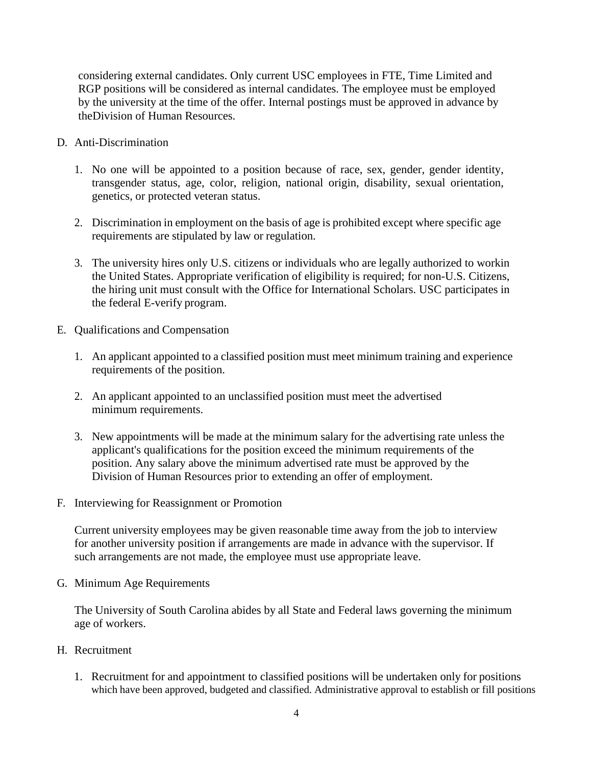considering external candidates. Only current USC employees in FTE, Time Limited and RGP positions will be considered as internal candidates. The employee must be employed by the university at the time of the offer. Internal postings must be approved in advance by theDivision of Human Resources.

- D. Anti-Discrimination
	- 1. No one will be appointed to a position because of race, sex, gender, gender identity, transgender status, age, color, religion, national origin, disability, sexual orientation, genetics, or protected veteran status.
	- 2. Discrimination in employment on the basis of age is prohibited except where specific age requirements are stipulated by law or regulation.
	- 3. The university hires only U.S. citizens or individuals who are legally authorized to workin the United States. Appropriate verification of eligibility is required; for non-U.S. Citizens, the hiring unit must consult with the Office for International Scholars. USC participates in the federal E-verify program.
- E. Qualifications and Compensation
	- 1. An applicant appointed to a classified position must meet minimum training and experience requirements of the position.
	- 2. An applicant appointed to an unclassified position must meet the advertised minimum requirements.
	- 3. New appointments will be made at the minimum salary for the advertising rate unless the applicant's qualifications for the position exceed the minimum requirements of the position. Any salary above the minimum advertised rate must be approved by the Division of Human Resources prior to extending an offer of employment.
- F. Interviewing for Reassignment or Promotion

Current university employees may be given reasonable time away from the job to interview for another university position if arrangements are made in advance with the supervisor. If such arrangements are not made, the employee must use appropriate leave.

G. Minimum Age Requirements

The University of South Carolina abides by all State and Federal laws governing the minimum age of workers.

- H. Recruitment
	- 1. Recruitment for and appointment to classified positions will be undertaken only for positions which have been approved, budgeted and classified. Administrative approval to establish or fill positions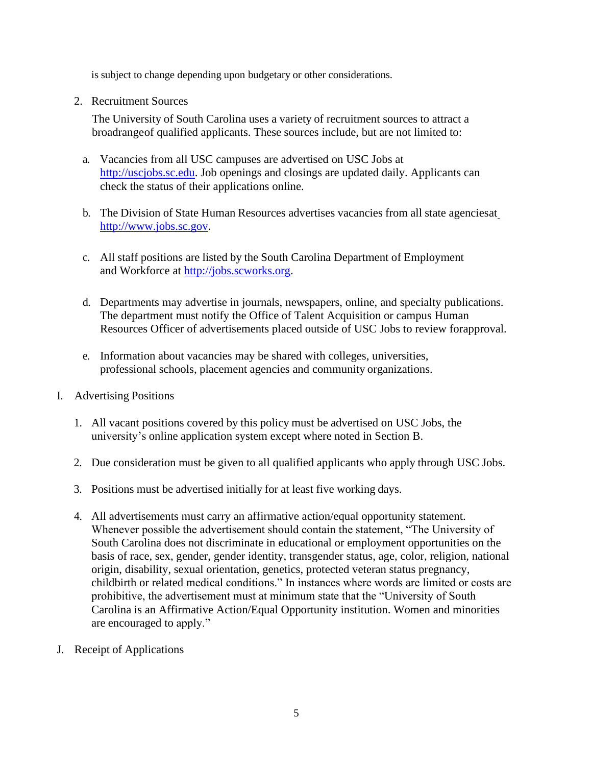is subject to change depending upon budgetary or other considerations.

2. Recruitment Sources

The University of South Carolina uses a variety of recruitment sources to attract a broadrangeof qualified applicants. These sources include, but are not limited to:

- a. Vacancies from all USC campuses are advertised on USC Jobs at [http://uscjobs.sc.edu.](http://uscjobs.sc.edu/) Job openings and closings are updated daily. Applicants can check the status of their applications online.
- b. The Division of State Human Resources advertises vacancies from all state agenciesa[t](http://www.jobs.sc.gov/) [http://www.jobs.sc.gov.](http://www.jobs.sc.gov/)
- c. All staff positions are listed by the South Carolina Department of Employment and Workforce at [http://jobs.scworks.org.](http://jobs.scworks.org/)
- d. Departments may advertise in journals, newspapers, online, and specialty publications. The department must notify the Office of Talent Acquisition or campus Human Resources Officer of advertisements placed outside of USC Jobs to review forapproval.
- e. Information about vacancies may be shared with colleges, universities, professional schools, placement agencies and community organizations.
- I. Advertising Positions
	- 1. All vacant positions covered by this policy must be advertised on USC Jobs, the university's online application system except where noted in Section B.
	- 2. Due consideration must be given to all qualified applicants who apply through USC Jobs.
	- 3. Positions must be advertised initially for at least five working days.
	- 4. All advertisements must carry an affirmative action/equal opportunity statement. Whenever possible the advertisement should contain the statement, "The University of South Carolina does not discriminate in educational or employment opportunities on the basis of race, sex, gender, gender identity, transgender status, age, color, religion, national origin, disability, sexual orientation, genetics, protected veteran status pregnancy, childbirth or related medical conditions." In instances where words are limited or costs are prohibitive, the advertisement must at minimum state that the "University of South Carolina is an Affirmative Action/Equal Opportunity institution. Women and minorities are encouraged to apply."
- J. Receipt of Applications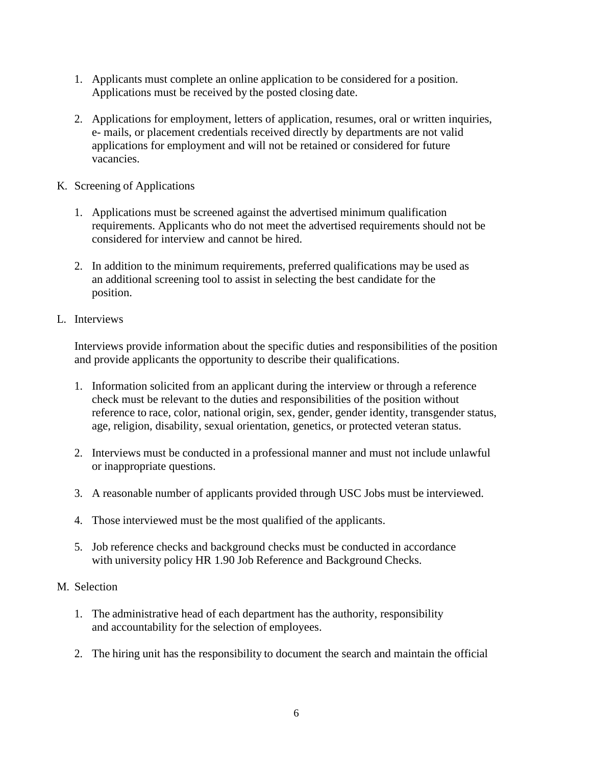- 1. Applicants must complete an online application to be considered for a position. Applications must be received by the posted closing date.
- 2. Applications for employment, letters of application, resumes, oral or written inquiries, e- mails, or placement credentials received directly by departments are not valid applications for employment and will not be retained or considered for future vacancies.
- K. Screening of Applications
	- 1. Applications must be screened against the advertised minimum qualification requirements. Applicants who do not meet the advertised requirements should not be considered for interview and cannot be hired.
	- 2. In addition to the minimum requirements, preferred qualifications may be used as an additional screening tool to assist in selecting the best candidate for the position.
- L. Interviews

Interviews provide information about the specific duties and responsibilities of the position and provide applicants the opportunity to describe their qualifications.

- 1. Information solicited from an applicant during the interview or through a reference check must be relevant to the duties and responsibilities of the position without reference to race, color, national origin, sex, gender, gender identity, transgender status, age, religion, disability, sexual orientation, genetics, or protected veteran status.
- 2. Interviews must be conducted in a professional manner and must not include unlawful or inappropriate questions.
- 3. A reasonable number of applicants provided through USC Jobs must be interviewed.
- 4. Those interviewed must be the most qualified of the applicants.
- 5. Job reference checks and background checks must be conducted in accordance with university policy HR 1.90 Job Reference and Background Checks.
- M. Selection
	- 1. The administrative head of each department has the authority, responsibility and accountability for the selection of employees.
	- 2. The hiring unit has the responsibility to document the search and maintain the official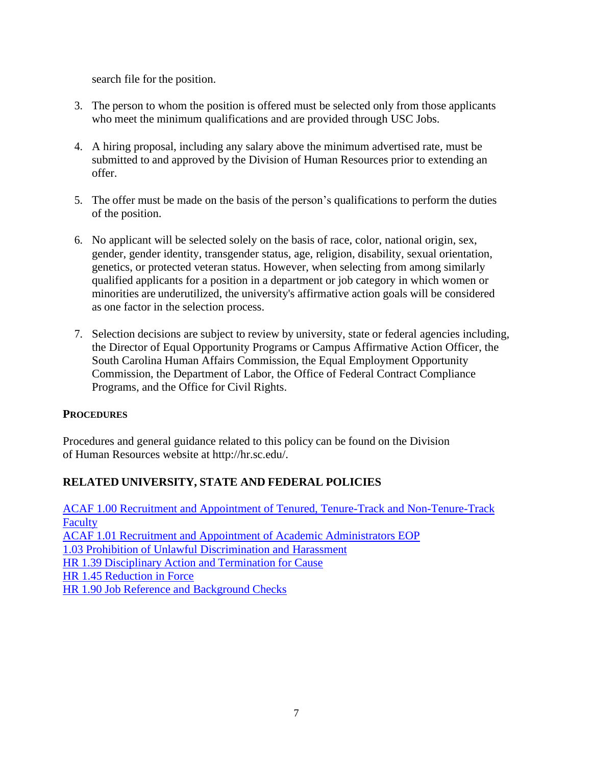search file for the position.

- 3. The person to whom the position is offered must be selected only from those applicants who meet the minimum qualifications and are provided through USC Jobs.
- 4. A hiring proposal, including any salary above the minimum advertised rate, must be submitted to and approved by the Division of Human Resources prior to extending an offer.
- 5. The offer must be made on the basis of the person's qualifications to perform the duties of the position.
- 6. No applicant will be selected solely on the basis of race, color, national origin, sex, gender, gender identity, transgender status, age, religion, disability, sexual orientation, genetics, or protected veteran status. However, when selecting from among similarly qualified applicants for a position in a department or job category in which women or minorities are underutilized, the university's affirmative action goals will be considered as one factor in the selection process.
- 7. Selection decisions are subject to review by university, state or federal agencies including, the Director of Equal Opportunity Programs or Campus Affirmative Action Officer, the South Carolina Human Affairs Commission, the Equal Employment Opportunity Commission, the Department of Labor, the Office of Federal Contract Compliance Programs, and the Office for Civil Rights.

## **PROCEDURES**

Procedures and general guidance related to this policy can be found on the Division of Human Resources website at [http://hr.sc.edu/.](http://hr.sc.edu/)

## **RELATED UNIVERSITY, STATE AND FEDERAL POLICIES**

[ACAF 1.00 Recruitment and Appointment of Tenured, Tenure-Track and Non-Tenure-Track](http://www.sc.edu/policies/ppm/acaf100.pdf) **[Faculty](http://www.sc.edu/policies/ppm/acaf100.pdf)** ACAF 1.01 Recruitment and Appointment of Academic [Administrators](http://www.sc.edu/policies/ppm/acaf101.pdf) [EOP](http://www.sc.edu/policies/ppm/acaf101.pdf) 1.03 Prohibition of Unlawful [Discrimination and](http://www.sc.edu/policies/ppm/eop103.pdf) Harassment HR 1.39 [Disciplinary](http://www.sc.edu/policies/ppm/hr139.pdf) Action and Termination for Cause HR [1.45 Reduction in Force](http://www.sc.edu/policies/ppm/hr145.pdf) HR 1.90 Job [Reference and](http://www.sc.edu/policies/ppm/hr145.pdf) Background Checks